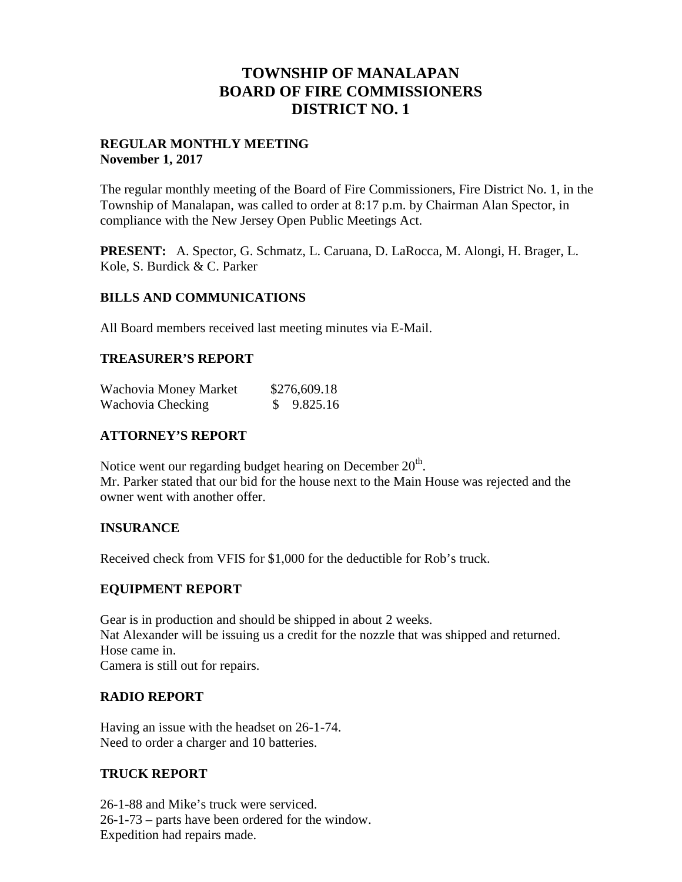# **TOWNSHIP OF MANALAPAN BOARD OF FIRE COMMISSIONERS DISTRICT NO. 1**

## **REGULAR MONTHLY MEETING November 1, 2017**

The regular monthly meeting of the Board of Fire Commissioners, Fire District No. 1, in the Township of Manalapan, was called to order at 8:17 p.m. by Chairman Alan Spector, in compliance with the New Jersey Open Public Meetings Act.

**PRESENT:** A. Spector, G. Schmatz, L. Caruana, D. LaRocca, M. Alongi, H. Brager, L. Kole, S. Burdick & C. Parker

## **BILLS AND COMMUNICATIONS**

All Board members received last meeting minutes via E-Mail.

## **TREASURER'S REPORT**

| Wachovia Money Market | \$276,609.18 |
|-----------------------|--------------|
| Wachovia Checking     | \$9.825.16   |

## **ATTORNEY'S REPORT**

Notice went our regarding budget hearing on December  $20^{\text{th}}$ . Mr. Parker stated that our bid for the house next to the Main House was rejected and the owner went with another offer.

### **INSURANCE**

Received check from VFIS for \$1,000 for the deductible for Rob's truck.

### **EQUIPMENT REPORT**

Gear is in production and should be shipped in about 2 weeks. Nat Alexander will be issuing us a credit for the nozzle that was shipped and returned. Hose came in. Camera is still out for repairs.

## **RADIO REPORT**

Having an issue with the headset on 26-1-74. Need to order a charger and 10 batteries.

## **TRUCK REPORT**

26-1-88 and Mike's truck were serviced. 26-1-73 – parts have been ordered for the window. Expedition had repairs made.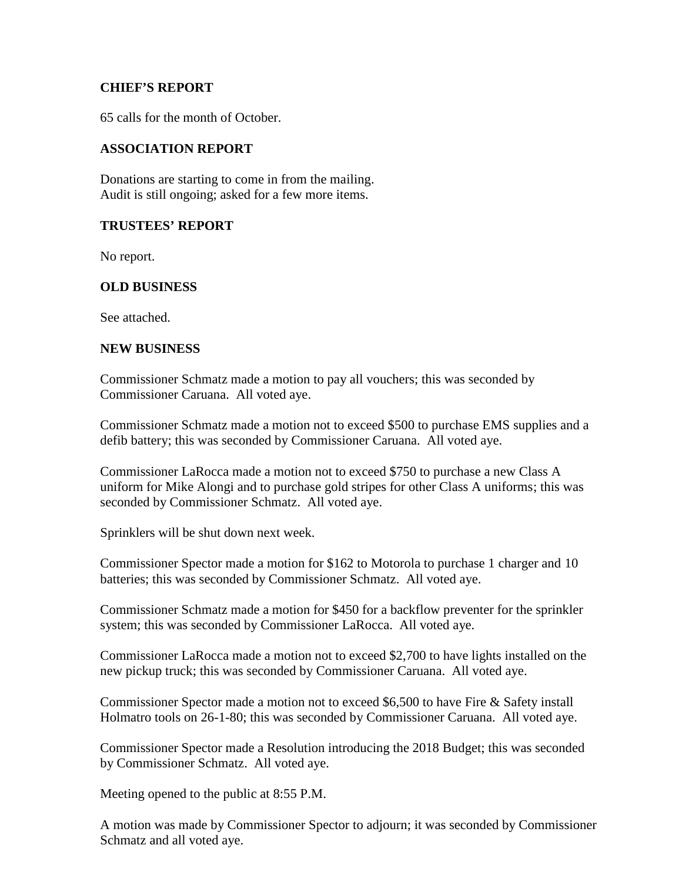### **CHIEF'S REPORT**

65 calls for the month of October.

## **ASSOCIATION REPORT**

Donations are starting to come in from the mailing. Audit is still ongoing; asked for a few more items.

#### **TRUSTEES' REPORT**

No report.

### **OLD BUSINESS**

See attached.

#### **NEW BUSINESS**

Commissioner Schmatz made a motion to pay all vouchers; this was seconded by Commissioner Caruana. All voted aye.

Commissioner Schmatz made a motion not to exceed \$500 to purchase EMS supplies and a defib battery; this was seconded by Commissioner Caruana. All voted aye.

Commissioner LaRocca made a motion not to exceed \$750 to purchase a new Class A uniform for Mike Alongi and to purchase gold stripes for other Class A uniforms; this was seconded by Commissioner Schmatz. All voted aye.

Sprinklers will be shut down next week.

Commissioner Spector made a motion for \$162 to Motorola to purchase 1 charger and 10 batteries; this was seconded by Commissioner Schmatz. All voted aye.

Commissioner Schmatz made a motion for \$450 for a backflow preventer for the sprinkler system; this was seconded by Commissioner LaRocca. All voted aye.

Commissioner LaRocca made a motion not to exceed \$2,700 to have lights installed on the new pickup truck; this was seconded by Commissioner Caruana. All voted aye.

Commissioner Spector made a motion not to exceed \$6,500 to have Fire & Safety install Holmatro tools on 26-1-80; this was seconded by Commissioner Caruana. All voted aye.

Commissioner Spector made a Resolution introducing the 2018 Budget; this was seconded by Commissioner Schmatz. All voted aye.

Meeting opened to the public at 8:55 P.M.

A motion was made by Commissioner Spector to adjourn; it was seconded by Commissioner Schmatz and all voted aye.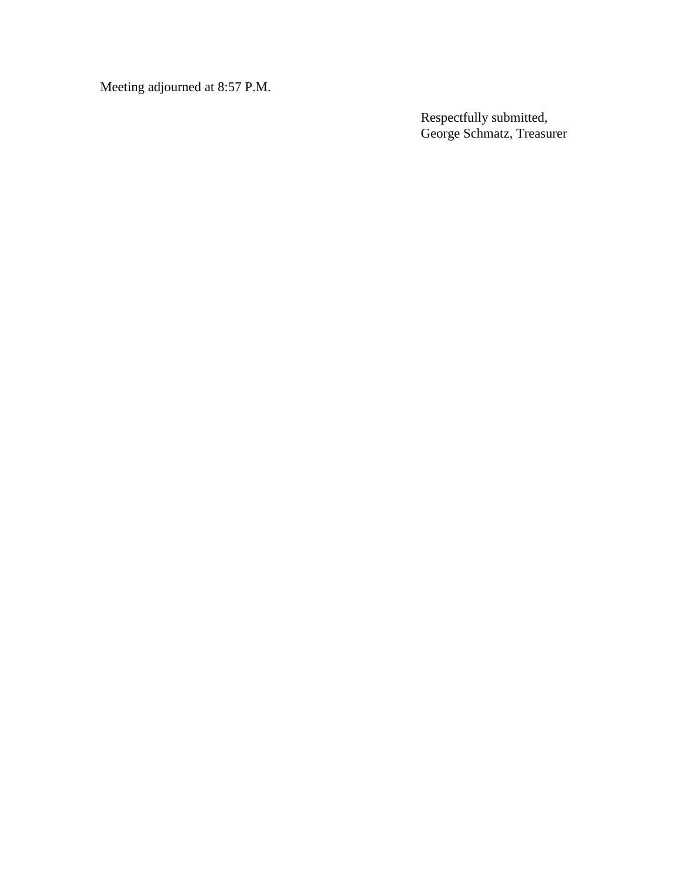Meeting adjourned at 8:57 P.M.

Respectfully submitted, George Schmatz, Treasurer